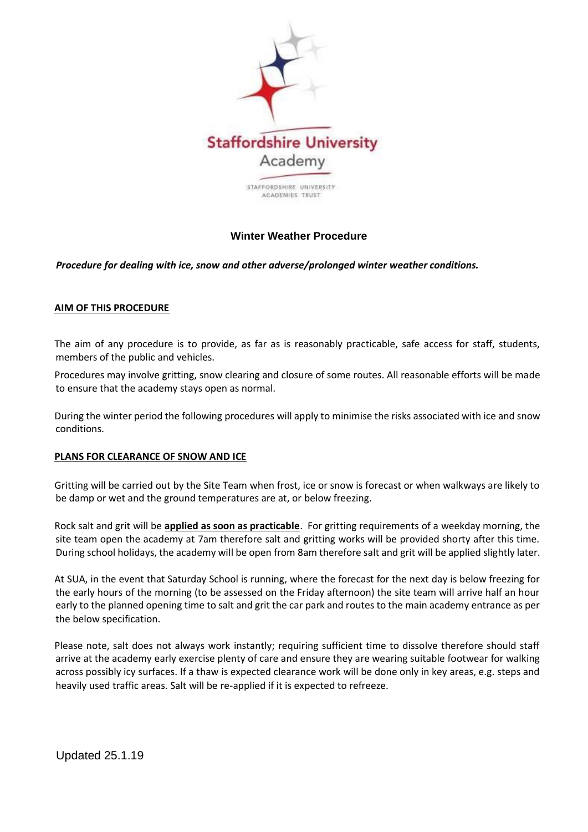

# **Winter Weather Procedure**

## *Procedure for dealing with ice, snow and other adverse/prolonged winter weather conditions.*

#### **AIM OF THIS PROCEDURE**

The aim of any procedure is to provide, as far as is reasonably practicable, safe access for staff, students, members of the public and vehicles.

Procedures may involve gritting, snow clearing and closure of some routes. All reasonable efforts will be made to ensure that the academy stays open as normal.

During the winter period the following procedures will apply to minimise the risks associated with ice and snow conditions.

#### **PLANS FOR CLEARANCE OF SNOW AND ICE**

Gritting will be carried out by the Site Team when frost, ice or snow is forecast or when walkways are likely to be damp or wet and the ground temperatures are at, or below freezing.

Rock salt and grit will be **applied as soon as practicable**. For gritting requirements of a weekday morning, the site team open the academy at 7am therefore salt and gritting works will be provided shorty after this time. During school holidays, the academy will be open from 8am therefore salt and grit will be applied slightly later.

At SUA, in the event that Saturday School is running, where the forecast for the next day is below freezing for the early hours of the morning (to be assessed on the Friday afternoon) the site team will arrive half an hour early to the planned opening time to salt and grit the car park and routes to the main academy entrance as per the below specification.

Please note, salt does not always work instantly; requiring sufficient time to dissolve therefore should staff arrive at the academy early exercise plenty of care and ensure they are wearing suitable footwear for walking across possibly icy surfaces. If a thaw is expected clearance work will be done only in key areas, e.g. steps and heavily used traffic areas. Salt will be re-applied if it is expected to refreeze.

Updated 25.1.19